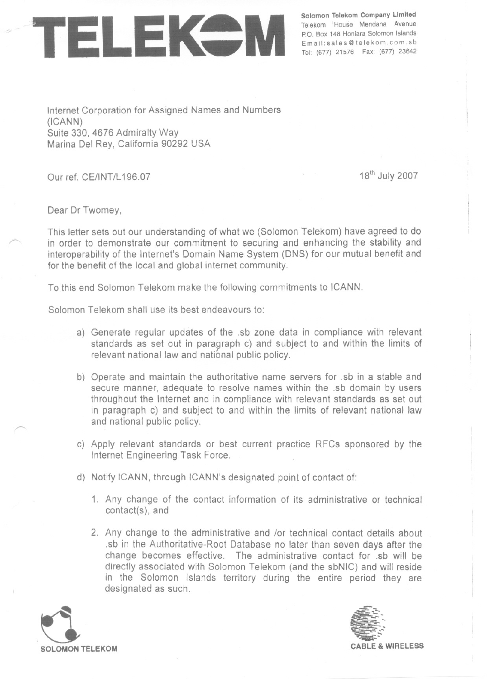## Solomon Telekom Company Limited<br>Telekom House Mendana Avenue<br>P.O. Box 148 Honiara Solomon Islands<br>Email:sales@telekom.com.sb<br>Tel: (677) 21576, Eax: (677) 23642

Telekom' House Mendana Avenue P.O. Box 148 Honiara Solomon Islands Email: sales@telekom.com.sb Tel: (677) 21576 Fax: (677) 23642

Internet Corporation for Assigned Names and Numbers (ICANN) Suite 330, 4676 Admiralty Way Marina Del Rey, California 90292 USA

Our ref. CE/INT/L196.07 18<sup>th</sup> July 2007

Dear Dr Twomey,

/"'"

 $\overline{\phantom{0}}$ 

This letter sets out our understanding of what we (Solomon Telekom) have agreed to do in order to demonstrate our commitment to securing and enhancing the stability and interoperability of the Internet's Domain Name System (DNS) for our mutual benefit and for the benefit of the local and global internet community.

To this end Solomon Telekom make the following commitments to ICANN.

Solomon Telekom shall use its best endeavours to:

- a) Generate regular updates of the .sb zone data in compliance with relevant standards as set out in paragraph c) and subject to and within the limits of relevant national law and national public policy.
- b) Operate and maintain the authoritative name servers for .sb in a stable and secure manner, adequate to resolve names within the .sb domain by users throughout the Internet and in compliance with relevant standards as set out in paragraph c) and subject to and within the limits of relevant national law and national public policy.
- C) Apply relevant standards or best current practice RFCs sponsored by the Internet Engineering Task Force.
- d) Notify ICANN, through ICANN's designated point of contact of:
	- 1. Any change of the contact information of its administrative or technical contact(s), and
	- 2. Any change to the administrative and /or technical contact details about .sb in the Authoritative-Root Database no later than seven days after the change becomes effective. The administrative contact for .sb will be directly associated with Solomon Telekom (and the sbNIC) and will reside in the Solomon Islands territory during the entire period they are designated as such.



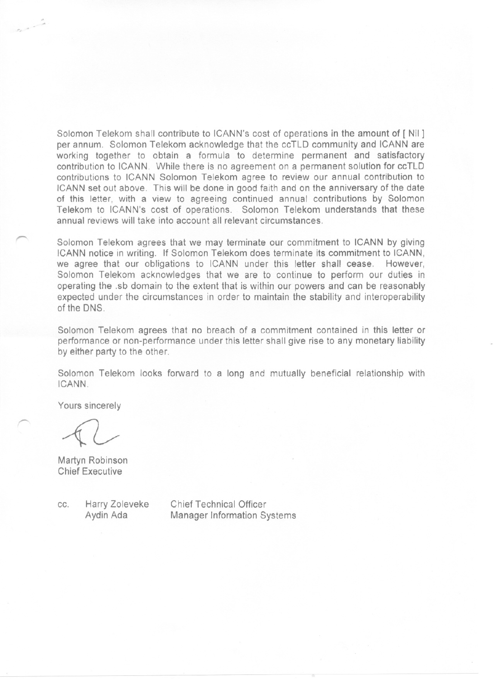Solomon Telekom shall contribute to ICANN's cost of operations in the amount of [ Nil ] per annum. Solomon Telekom acknowledge that the ccTLD community and ICANN are working together to obtain a formula to determine permanent and satisfactory contribution to ICANN. While there is no agreement on a permanent solution for ccTLD contributions to ICANN Solomon Telekom agree to review our annual contribution to ICANN set out above. This will be done in good faith and on the anniversary of the date of this letter, with a view to agreeing continued annual contributions by Solomon Telekom to ICANN's cost of operations. Solomon Telekom understands that these annual reviews will take into account all relevant circumstances.

Solomon Telekom agrees that we may terminate our commitment to ICANN by giving ICANN notice in writing. If Solomon Telekom does terminate its commitment to ICANN, we agree that our obligations to ICANN under this letter shall cease. However, Solomon Telekom acknowledges that we are to continue to perform our duties in operating the .sb domain to the extent that is within our powers and can be reasonably expected under the circumstances in order to maintain the stability and interoperability of the DNS.

Solomon Telekom agrees that no breach of a commitment contained in this letter or performance or non-performance under this letter shall give rise to any monetary liability by either party to the other.

Solomon Telekom looks forward to a long and mutually beneficial relationship with ICANN.

Yours sincerely

'".. >

.. 40

,......

r

 $\sqrt{2}$ 

Martyn Robinson Chief Executive

cc. Harry Zoleveke Aydin Ada

Chief Technical Officer Manager Information Systems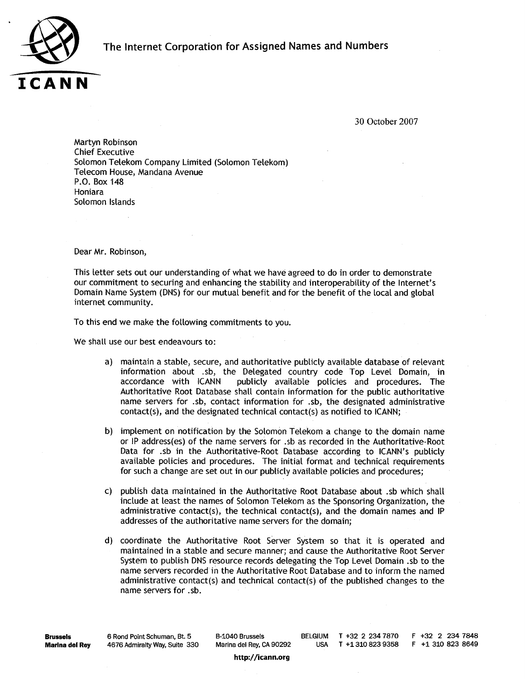

30 October 2007

Martyn Robinson **Chief Executive** Solomon Telekom Company Limited (Solomon Telekom) Telecom House, Mandana Avenue P.O. Box 148 Honiara Solomon Islands

Dear Mr. Robinson.

This letter sets out our understanding of what we have agreed to do in order to demonstrate our commitment to securing and enhancing the stability and interoperability of the Internet's Domain Name System (DNS) for our mutual benefit and for the benefit of the local and global internet community.

To this end we make the following commitments to you.

We shall use our best endeavours to:

- a) maintain a stable, secure, and authoritative publicly available database of relevant information about .sb, the Delegated country code Top Level Domain, in accordance with ICANN publicly available policies and procedures. The Authoritative Root Database shall contain information for the public authoritative name servers for .sb, contact information for .sb, the designated administrative contact(s), and the designated technical contact(s) as notified to ICANN;
- b) implement on notification by the Solomon Telekom a change to the domain name or IP address(es) of the name servers for .sb as recorded in the Authoritative-Root Data for .sb in the Authoritative-Root Database according to ICANN's publicly available policies and procedures. The initial format and technical requirements for such a change are set out in our publicly available policies and procedures;
- c) publish data maintained in the Authoritative Root Database about .sb which shall include at least the names of Solomon Telekom as the Sponsoring Organization, the administrative contact(s), the technical contact(s), and the domain names and IP addresses of the authoritative name servers for the domain;
- d) coordinate the Authoritative Root Server System so that it is operated and maintained in a stable and secure manner; and cause the Authoritative Root Server System to publish DNS resource records delegating the Top Level Domain .sb to the name servers recorded in the Authoritative Root Database and to inform the named administrative contact(s) and technical contact(s) of the published changes to the name servers for .sb.